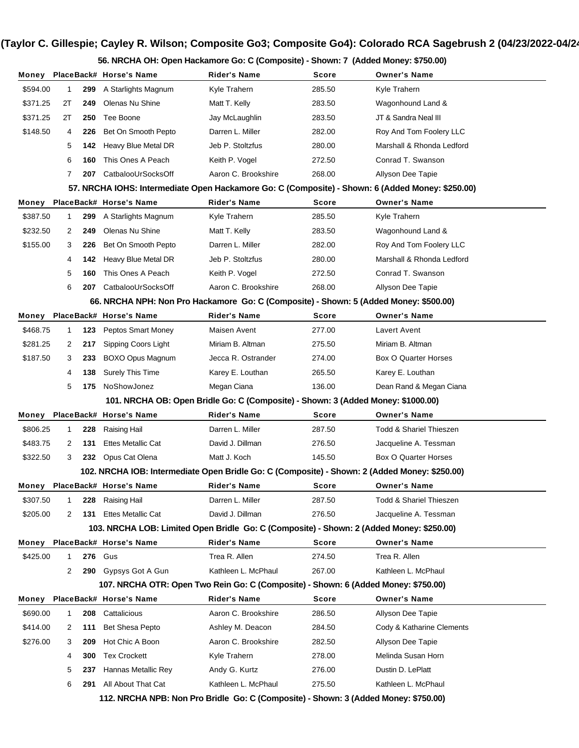**56. NRCHA OH: Open Hackamore Go: C (Composite) - Shown: 7 (Added Money: \$750.00)**

|                                                                                               |                                                                                       |     | Money PlaceBack# Horse's Name                                                                    | Rider's Name                                                                     | Score  | <b>Owner's Name</b>       |  |  |
|-----------------------------------------------------------------------------------------------|---------------------------------------------------------------------------------------|-----|--------------------------------------------------------------------------------------------------|----------------------------------------------------------------------------------|--------|---------------------------|--|--|
| \$594.00                                                                                      | 1                                                                                     | 299 | A Starlights Magnum                                                                              | Kyle Trahern                                                                     | 285.50 | Kyle Trahern              |  |  |
| \$371.25                                                                                      | 2Т                                                                                    | 249 | Olenas Nu Shine                                                                                  | Matt T. Kelly                                                                    | 283.50 | Wagonhound Land &         |  |  |
| \$371.25                                                                                      | 2Τ                                                                                    | 250 | Tee Boone                                                                                        | Jay McLaughlin                                                                   | 283.50 | JT & Sandra Neal III      |  |  |
| \$148.50                                                                                      | 4                                                                                     | 226 | Bet On Smooth Pepto                                                                              | Darren L. Miller                                                                 | 282.00 | Roy And Tom Foolery LLC   |  |  |
|                                                                                               | 5                                                                                     | 142 | Heavy Blue Metal DR                                                                              | Jeb P. Stoltzfus                                                                 | 280.00 | Marshall & Rhonda Ledford |  |  |
|                                                                                               | 6                                                                                     | 160 | This Ones A Peach                                                                                | Keith P. Vogel                                                                   | 272.50 | Conrad T. Swanson         |  |  |
|                                                                                               | 7                                                                                     | 207 | CatbalooUrSocksOff                                                                               | Aaron C. Brookshire                                                              | 268.00 | Allyson Dee Tapie         |  |  |
|                                                                                               |                                                                                       |     | 57. NRCHA IOHS: Intermediate Open Hackamore Go: C (Composite) - Shown: 6 (Added Money: \$250.00) |                                                                                  |        |                           |  |  |
| Money                                                                                         |                                                                                       |     | PlaceBack# Horse's Name                                                                          | <b>Rider's Name</b>                                                              | Score  | <b>Owner's Name</b>       |  |  |
| \$387.50                                                                                      | 1                                                                                     | 299 | A Starlights Magnum                                                                              | Kyle Trahern                                                                     | 285.50 | Kyle Trahern              |  |  |
| \$232.50                                                                                      | 2                                                                                     | 249 | Olenas Nu Shine                                                                                  | Matt T. Kelly                                                                    | 283.50 | Wagonhound Land &         |  |  |
| \$155.00                                                                                      | 3                                                                                     | 226 | Bet On Smooth Pepto                                                                              | Darren L. Miller                                                                 | 282.00 | Roy And Tom Foolery LLC   |  |  |
|                                                                                               | 4                                                                                     | 142 | Heavy Blue Metal DR                                                                              | Jeb P. Stoltzfus                                                                 | 280.00 | Marshall & Rhonda Ledford |  |  |
|                                                                                               | 5                                                                                     | 160 | This Ones A Peach                                                                                | Keith P. Vogel                                                                   | 272.50 | Conrad T. Swanson         |  |  |
|                                                                                               | 6                                                                                     | 207 | CatbalooUrSocksOff                                                                               | Aaron C. Brookshire                                                              | 268.00 | Allyson Dee Tapie         |  |  |
|                                                                                               | 66. NRCHA NPH: Non Pro Hackamore Go: C (Composite) - Shown: 5 (Added Money: \$500.00) |     |                                                                                                  |                                                                                  |        |                           |  |  |
| Money                                                                                         |                                                                                       |     | PlaceBack# Horse's Name                                                                          | Rider's Name                                                                     | Score  | <b>Owner's Name</b>       |  |  |
| \$468.75                                                                                      | 1                                                                                     | 123 | Peptos Smart Money                                                                               | Maisen Avent                                                                     | 277.00 | <b>Lavert Avent</b>       |  |  |
| \$281.25                                                                                      | 2                                                                                     | 217 | Sipping Coors Light                                                                              | Miriam B. Altman                                                                 | 275.50 | Miriam B. Altman          |  |  |
| \$187.50                                                                                      | 3                                                                                     | 233 | BOXO Opus Magnum                                                                                 | Jecca R. Ostrander                                                               | 274.00 | Box O Quarter Horses      |  |  |
|                                                                                               | 4                                                                                     | 138 | Surely This Time                                                                                 | Karey E. Louthan                                                                 | 265.50 | Karey E. Louthan          |  |  |
|                                                                                               | 5                                                                                     | 175 | NoShowJonez                                                                                      | Megan Ciana                                                                      | 136.00 | Dean Rand & Megan Ciana   |  |  |
|                                                                                               |                                                                                       |     |                                                                                                  | 101. NRCHA OB: Open Bridle Go: C (Composite) - Shown: 3 (Added Money: \$1000.00) |        |                           |  |  |
| Money                                                                                         |                                                                                       |     | PlaceBack# Horse's Name                                                                          | Rider's Name                                                                     | Score  | <b>Owner's Name</b>       |  |  |
| \$806.25                                                                                      | 1                                                                                     | 228 | Raising Hail                                                                                     | Darren L. Miller                                                                 | 287.50 | Todd & Shariel Thieszen   |  |  |
| \$483.75                                                                                      | 2                                                                                     | 131 | <b>Ettes Metallic Cat</b>                                                                        | David J. Dillman                                                                 | 276.50 | Jacqueline A. Tessman     |  |  |
| \$322.50                                                                                      | 3                                                                                     | 232 | Opus Cat Olena                                                                                   | Matt J. Koch                                                                     | 145.50 | Box O Quarter Horses      |  |  |
| 102. NRCHA IOB: Intermediate Open Bridle Go: C (Composite) - Shown: 2 (Added Money: \$250.00) |                                                                                       |     |                                                                                                  |                                                                                  |        |                           |  |  |
| Monev                                                                                         |                                                                                       |     | PlaceBack# Horse's Name                                                                          | <b>Rider's Name</b>                                                              | Score  | <b>Owner's Name</b>       |  |  |
| \$307.50                                                                                      | 1                                                                                     | 228 | Raising Hail                                                                                     | Darren L. Miller                                                                 | 287.50 | Todd & Shariel Thieszen   |  |  |
| \$205.00                                                                                      | 2                                                                                     | 131 | <b>Ettes Metallic Cat</b>                                                                        | David J. Dillman                                                                 | 276.50 | Jacqueline A. Tessman     |  |  |
| 103. NRCHA LOB: Limited Open Bridle Go: C (Composite) - Shown: 2 (Added Money: \$250.00)      |                                                                                       |     |                                                                                                  |                                                                                  |        |                           |  |  |
| Money                                                                                         |                                                                                       |     | PlaceBack# Horse's Name                                                                          | Rider's Name                                                                     | Score  | <b>Owner's Name</b>       |  |  |
| \$425.00                                                                                      | 1                                                                                     | 276 | Gus                                                                                              | Trea R. Allen                                                                    | 274.50 | Trea R. Allen             |  |  |
|                                                                                               | 2                                                                                     | 290 | Gypsys Got A Gun                                                                                 | Kathleen L. McPhaul                                                              | 267.00 | Kathleen L. McPhaul       |  |  |
| 107. NRCHA OTR: Open Two Rein Go: C (Composite) - Shown: 6 (Added Money: \$750.00)            |                                                                                       |     |                                                                                                  |                                                                                  |        |                           |  |  |
| Money                                                                                         |                                                                                       |     | PlaceBack# Horse's Name                                                                          | <b>Rider's Name</b>                                                              | Score  | <b>Owner's Name</b>       |  |  |
| \$690.00                                                                                      | 1                                                                                     | 208 | Cattalicious                                                                                     | Aaron C. Brookshire                                                              | 286.50 | Allyson Dee Tapie         |  |  |
| \$414.00                                                                                      | 2                                                                                     | 111 | <b>Bet Shesa Pepto</b>                                                                           | Ashley M. Deacon                                                                 | 284.50 | Cody & Katharine Clements |  |  |
| \$276.00                                                                                      | 3                                                                                     | 209 | Hot Chic A Boon                                                                                  | Aaron C. Brookshire                                                              | 282.50 | Allyson Dee Tapie         |  |  |
|                                                                                               | 4                                                                                     | 300 | <b>Tex Crockett</b>                                                                              | Kyle Trahern                                                                     | 278.00 | Melinda Susan Horn        |  |  |
|                                                                                               | 5                                                                                     | 237 | Hannas Metallic Rey                                                                              | Andy G. Kurtz                                                                    | 276.00 | Dustin D. LePlatt         |  |  |
|                                                                                               | 6                                                                                     | 291 | All About That Cat                                                                               | Kathleen L. McPhaul                                                              | 275.50 | Kathleen L. McPhaul       |  |  |
| 112. NRCHA NPB: Non Pro Bridle Go: C (Composite) - Shown: 3 (Added Money: \$750.00)           |                                                                                       |     |                                                                                                  |                                                                                  |        |                           |  |  |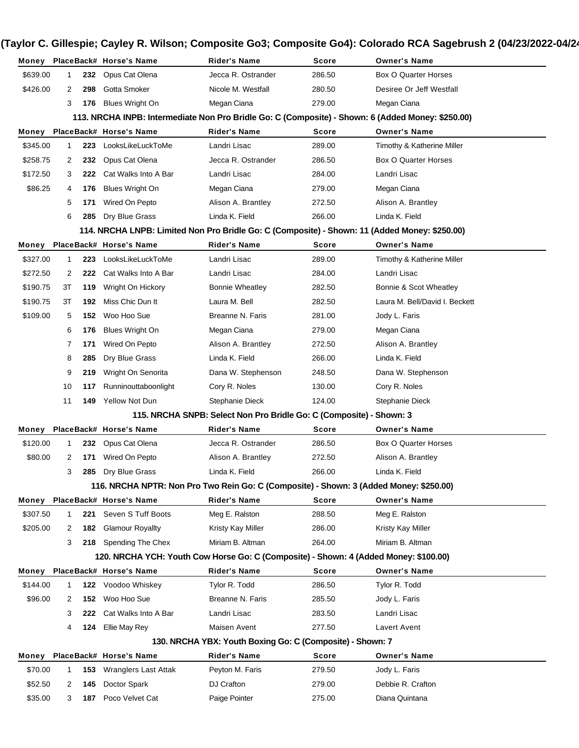| Money    |                                                                                                   |     | PlaceBack# Horse's Name                                                                       | Rider's Name                                                        | Score  | <b>Owner's Name</b>            |  |  |
|----------|---------------------------------------------------------------------------------------------------|-----|-----------------------------------------------------------------------------------------------|---------------------------------------------------------------------|--------|--------------------------------|--|--|
| \$639.00 | $\mathbf{1}$                                                                                      | 232 | Opus Cat Olena                                                                                | Jecca R. Ostrander                                                  | 286.50 | <b>Box O Quarter Horses</b>    |  |  |
| \$426.00 | 2                                                                                                 | 298 | Gotta Smoker                                                                                  | Nicole M. Westfall                                                  | 280.50 | Desiree Or Jeff Westfall       |  |  |
|          | 3                                                                                                 | 176 | <b>Blues Wright On</b>                                                                        | Megan Ciana                                                         | 279.00 | Megan Ciana                    |  |  |
|          | 113. NRCHA INPB: Intermediate Non Pro Bridle Go: C (Composite) - Shown: 6 (Added Money: \$250.00) |     |                                                                                               |                                                                     |        |                                |  |  |
| Money    |                                                                                                   |     | PlaceBack# Horse's Name                                                                       | Rider's Name                                                        | Score  | <b>Owner's Name</b>            |  |  |
| \$345.00 | $\mathbf{1}$                                                                                      | 223 | LooksLikeLuckToMe                                                                             | Landri Lisac                                                        | 289.00 | Timothy & Katherine Miller     |  |  |
| \$258.75 | 2                                                                                                 | 232 | Opus Cat Olena                                                                                | Jecca R. Ostrander                                                  | 286.50 | Box O Quarter Horses           |  |  |
| \$172.50 | 3                                                                                                 | 222 | Cat Walks Into A Bar                                                                          | Landri Lisac                                                        | 284.00 | Landri Lisac                   |  |  |
| \$86.25  | 4                                                                                                 | 176 | <b>Blues Wright On</b>                                                                        | Megan Ciana                                                         | 279.00 | Megan Ciana                    |  |  |
|          | 5                                                                                                 | 171 | Wired On Pepto                                                                                | Alison A. Brantley                                                  | 272.50 | Alison A. Brantley             |  |  |
|          | 6                                                                                                 | 285 | Dry Blue Grass                                                                                | Linda K. Field                                                      | 266.00 | Linda K. Field                 |  |  |
|          |                                                                                                   |     | 114. NRCHA LNPB: Limited Non Pro Bridle Go: C (Composite) - Shown: 11 (Added Money: \$250.00) |                                                                     |        |                                |  |  |
| Money    |                                                                                                   |     | PlaceBack# Horse's Name                                                                       | Rider's Name                                                        | Score  | <b>Owner's Name</b>            |  |  |
| \$327.00 | 1                                                                                                 | 223 | LooksLikeLuckToMe                                                                             | Landri Lisac                                                        | 289.00 | Timothy & Katherine Miller     |  |  |
| \$272.50 | 2                                                                                                 | 222 | Cat Walks Into A Bar                                                                          | Landri Lisac                                                        | 284.00 | Landri Lisac                   |  |  |
| \$190.75 | 3Т                                                                                                | 119 | Wright On Hickory                                                                             | <b>Bonnie Wheatley</b>                                              | 282.50 | Bonnie & Scot Wheatley         |  |  |
| \$190.75 | ЗT                                                                                                | 192 | Miss Chic Dun It                                                                              | Laura M. Bell                                                       | 282.50 | Laura M. Bell/David I. Beckett |  |  |
| \$109.00 | 5                                                                                                 | 152 | Woo Hoo Sue                                                                                   | Breanne N. Faris                                                    | 281.00 | Jody L. Faris                  |  |  |
|          | 6                                                                                                 | 176 | Blues Wright On                                                                               | Megan Ciana                                                         | 279.00 | Megan Ciana                    |  |  |
|          | 7                                                                                                 | 171 | Wired On Pepto                                                                                | Alison A. Brantley                                                  | 272.50 | Alison A. Brantley             |  |  |
|          | 8                                                                                                 | 285 | Dry Blue Grass                                                                                | Linda K. Field                                                      | 266.00 | Linda K. Field                 |  |  |
|          | 9                                                                                                 | 219 | Wright On Senorita                                                                            | Dana W. Stephenson                                                  | 248.50 | Dana W. Stephenson             |  |  |
|          | 10                                                                                                | 117 | Runninouttaboonlight                                                                          | Cory R. Noles                                                       | 130.00 | Cory R. Noles                  |  |  |
|          | 11                                                                                                | 149 | Yellow Not Dun                                                                                | Stephanie Dieck                                                     | 124.00 | Stephanie Dieck                |  |  |
|          |                                                                                                   |     |                                                                                               | 115. NRCHA SNPB: Select Non Pro Bridle Go: C (Composite) - Shown: 3 |        |                                |  |  |
| Money    |                                                                                                   |     | PlaceBack# Horse's Name                                                                       | <b>Rider's Name</b>                                                 | Score  | <b>Owner's Name</b>            |  |  |
| \$120.00 | $\mathbf{1}$                                                                                      | 232 | Opus Cat Olena                                                                                | Jecca R. Ostrander                                                  | 286.50 | <b>Box O Quarter Horses</b>    |  |  |
| \$80.00  | 2                                                                                                 | 171 | Wired On Pepto                                                                                | Alison A. Brantley                                                  | 272.50 | Alison A. Brantley             |  |  |
|          | 3                                                                                                 | 285 | Dry Blue Grass                                                                                | Linda K. Field                                                      | 266.00 | Linda K. Field                 |  |  |
|          | 116. NRCHA NPTR: Non Pro Two Rein Go: C (Composite) - Shown: 3 (Added Money: \$250.00)            |     |                                                                                               |                                                                     |        |                                |  |  |
| Money    |                                                                                                   |     | PlaceBack# Horse's Name                                                                       | <b>Rider's Name</b>                                                 | Score  | <b>Owner's Name</b>            |  |  |
| \$307.50 | 1                                                                                                 | 221 | Seven S Tuff Boots                                                                            | Meg E. Ralston                                                      | 288.50 | Meg E. Ralston                 |  |  |
| \$205.00 | 2                                                                                                 | 182 | <b>Glamour Royallty</b>                                                                       | Kristy Kay Miller                                                   | 286.00 | Kristy Kay Miller              |  |  |
|          | 3                                                                                                 | 218 | Spending The Chex                                                                             | Miriam B. Altman                                                    | 264.00 | Miriam B. Altman               |  |  |
|          | 120. NRCHA YCH: Youth Cow Horse Go: C (Composite) - Shown: 4 (Added Money: \$100.00)              |     |                                                                                               |                                                                     |        |                                |  |  |
| Money    |                                                                                                   |     | PlaceBack# Horse's Name                                                                       | Rider's Name                                                        | Score  | <b>Owner's Name</b>            |  |  |
| \$144.00 | 1                                                                                                 | 122 | Voodoo Whiskey                                                                                | Tylor R. Todd                                                       | 286.50 | Tylor R. Todd                  |  |  |
| \$96.00  | 2                                                                                                 | 152 | Woo Hoo Sue                                                                                   | Breanne N. Faris                                                    | 285.50 | Jody L. Faris                  |  |  |
|          | 3                                                                                                 | 222 | Cat Walks Into A Bar                                                                          | Landri Lisac                                                        | 283.50 | Landri Lisac                   |  |  |
|          | 4                                                                                                 | 124 | Ellie May Rey                                                                                 | Maisen Avent                                                        | 277.50 | Lavert Avent                   |  |  |
|          |                                                                                                   |     |                                                                                               | 130. NRCHA YBX: Youth Boxing Go: C (Composite) - Shown: 7           |        |                                |  |  |
| Money    |                                                                                                   |     | PlaceBack# Horse's Name                                                                       | Rider's Name                                                        | Score  | <b>Owner's Name</b>            |  |  |
| \$70.00  | 1                                                                                                 | 153 | <b>Wranglers Last Attak</b>                                                                   | Peyton M. Faris                                                     | 279.50 | Jody L. Faris                  |  |  |
| \$52.50  | 2                                                                                                 | 145 | Doctor Spark                                                                                  | DJ Crafton                                                          | 279.00 | Debbie R. Crafton              |  |  |
| \$35.00  | 3                                                                                                 | 187 | Poco Velvet Cat                                                                               | Paige Pointer                                                       | 275.00 | Diana Quintana                 |  |  |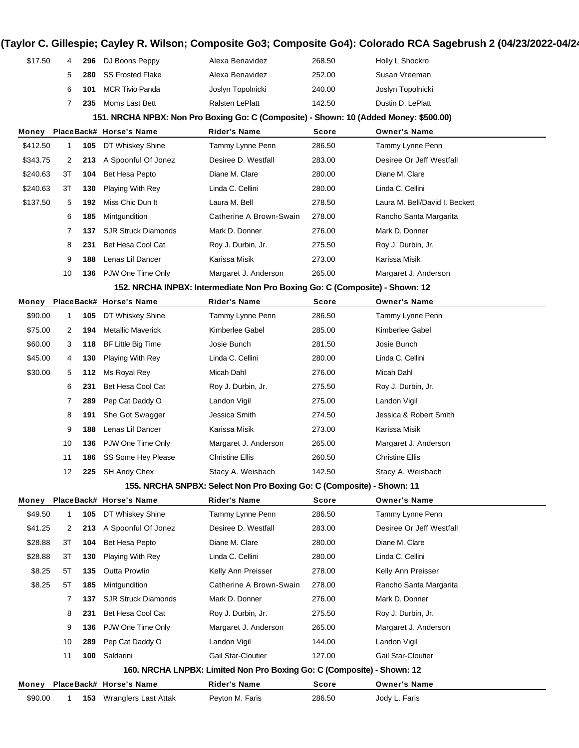| \$90.00                                                                               | 1                                                                           | 153 | <b>Wranglers Last Attak</b> | Peyton M. Faris         | 286.50 | Jody L. Faris                  |  |
|---------------------------------------------------------------------------------------|-----------------------------------------------------------------------------|-----|-----------------------------|-------------------------|--------|--------------------------------|--|
| Money                                                                                 |                                                                             |     | PlaceBack# Horse's Name     | <b>Rider's Name</b>     | Score  | <b>Owner's Name</b>            |  |
|                                                                                       | 160. NRCHA LNPBX: Limited Non Pro Boxing Go: C (Composite) - Shown: 12      |     |                             |                         |        |                                |  |
|                                                                                       | 11                                                                          | 100 | Saldarini                   | Gail Star-Cloutier      | 127.00 | Gail Star-Cloutier             |  |
|                                                                                       | 10                                                                          | 289 | Pep Cat Daddy O             | Landon Vigil            | 144.00 | Landon Vigil                   |  |
|                                                                                       | 9                                                                           | 136 | PJW One Time Only           | Margaret J. Anderson    | 265.00 | Margaret J. Anderson           |  |
|                                                                                       | 8                                                                           | 231 | Bet Hesa Cool Cat           | Roy J. Durbin, Jr.      | 275.50 | Roy J. Durbin, Jr.             |  |
|                                                                                       | 7                                                                           | 137 | <b>SJR Struck Diamonds</b>  | Mark D. Donner          | 276.00 | Mark D. Donner                 |  |
| \$8.25                                                                                | 5T                                                                          | 185 | Mintgundition               | Catherine A Brown-Swain | 278.00 | Rancho Santa Margarita         |  |
| \$8.25                                                                                | 5T                                                                          | 135 | Outta Prowlin               | Kelly Ann Preisser      | 278.00 | Kelly Ann Preisser             |  |
| \$28.88                                                                               | ЗT                                                                          | 130 | Playing With Rey            | Linda C. Cellini        | 280.00 | Linda C. Cellini               |  |
| \$28.88                                                                               | 3Т                                                                          | 104 | Bet Hesa Pepto              | Diane M. Clare          | 280.00 | Diane M. Clare                 |  |
| \$41.25                                                                               | 2                                                                           | 213 | A Spoonful Of Jonez         | Desiree D. Westfall     | 283.00 | Desiree Or Jeff Westfall       |  |
| \$49.50                                                                               | 1                                                                           | 105 | DT Whiskey Shine            | Tammy Lynne Penn        | 286.50 | Tammy Lynne Penn               |  |
| Money                                                                                 |                                                                             |     | PlaceBack# Horse's Name     | Rider's Name            | Score  | <b>Owner's Name</b>            |  |
| 155. NRCHA SNPBX: Select Non Pro Boxing Go: C (Composite) - Shown: 11                 |                                                                             |     |                             |                         |        |                                |  |
|                                                                                       | 12                                                                          |     | 225 SH Andy Chex            | Stacy A. Weisbach       | 142.50 | Stacy A. Weisbach              |  |
|                                                                                       | 11                                                                          | 186 | SS Some Hey Please          | Christine Ellis         | 260.50 | <b>Christine Ellis</b>         |  |
|                                                                                       | 10                                                                          | 136 | PJW One Time Only           | Margaret J. Anderson    | 265.00 | Margaret J. Anderson           |  |
|                                                                                       | 9                                                                           | 188 | Lenas Lil Dancer            | Karissa Misik           | 273.00 | Karissa Misik                  |  |
|                                                                                       | 8                                                                           | 191 | She Got Swagger             | Jessica Smith           | 274.50 | Jessica & Robert Smith         |  |
|                                                                                       | 7                                                                           | 289 | Pep Cat Daddy O             | Landon Vigil            | 275.00 | Landon Vigil                   |  |
|                                                                                       | 6                                                                           | 231 | Bet Hesa Cool Cat           | Roy J. Durbin, Jr.      | 275.50 | Roy J. Durbin, Jr.             |  |
| \$30.00                                                                               | 5                                                                           | 112 | Ms Royal Rey                | Micah Dahl              | 276.00 | Micah Dahl                     |  |
| \$45.00                                                                               | 4                                                                           | 130 | <b>Playing With Rey</b>     | Linda C. Cellini        | 280.00 | Linda C. Cellini               |  |
| \$60.00                                                                               | 3                                                                           | 118 | BF Little Big Time          | Josie Bunch             | 281.50 | Josie Bunch                    |  |
| \$75.00                                                                               | 2                                                                           | 194 | <b>Metallic Maverick</b>    | Kimberlee Gabel         | 285.00 | Kimberlee Gabel                |  |
| \$90.00                                                                               | $\mathbf{1}$                                                                | 105 | DT Whiskey Shine            | Tammy Lynne Penn        | 286.50 | Tammy Lynne Penn               |  |
| Money                                                                                 |                                                                             |     | PlaceBack# Horse's Name     | <b>Rider's Name</b>     | Score  | <b>Owner's Name</b>            |  |
|                                                                                       | 152. NRCHA INPBX: Intermediate Non Pro Boxing Go: C (Composite) - Shown: 12 |     |                             |                         |        |                                |  |
|                                                                                       | 10                                                                          | 136 | PJW One Time Only           | Margaret J. Anderson    | 265.00 | Margaret J. Anderson           |  |
|                                                                                       | 9                                                                           | 188 | Lenas Lil Dancer            | Karissa Misik           | 273.00 | Karissa Misik                  |  |
|                                                                                       | 8                                                                           | 231 | Bet Hesa Cool Cat           | Roy J. Durbin, Jr.      | 275.50 | Roy J. Durbin, Jr.             |  |
|                                                                                       | 7                                                                           | 137 | <b>SJR Struck Diamonds</b>  | Mark D. Donner          | 276.00 | Mark D. Donner                 |  |
|                                                                                       | 6                                                                           | 185 | Mintgundition               | Catherine A Brown-Swain | 278.00 | Rancho Santa Margarita         |  |
| \$137.50                                                                              | 5                                                                           | 192 | Miss Chic Dun It            | Laura M. Bell           | 278.50 | Laura M. Bell/David I. Beckett |  |
| \$240.63                                                                              | ЗT                                                                          | 130 | <b>Playing With Rey</b>     | Linda C. Cellini        | 280.00 | Linda C. Cellini               |  |
| \$240.63                                                                              | ЗT                                                                          | 104 | Bet Hesa Pepto              | Diane M. Clare          | 280.00 | Diane M. Clare                 |  |
| \$343.75                                                                              | 2                                                                           | 213 | A Spoonful Of Jonez         | Desiree D. Westfall     | 283.00 | Desiree Or Jeff Westfall       |  |
| \$412.50                                                                              | $\mathbf{1}$                                                                | 105 | DT Whiskey Shine            | Tammy Lynne Penn        | 286.50 | Tammy Lynne Penn               |  |
| Money                                                                                 |                                                                             |     | PlaceBack# Horse's Name     | <b>Rider's Name</b>     | Score  | <b>Owner's Name</b>            |  |
| 151. NRCHA NPBX: Non Pro Boxing Go: C (Composite) - Shown: 10 (Added Money: \$500.00) |                                                                             |     |                             |                         |        |                                |  |
|                                                                                       | 7                                                                           | 235 | Moms Last Bett              | <b>Ralsten LePlatt</b>  | 142.50 | Dustin D. LePlatt              |  |
|                                                                                       | 6                                                                           | 101 | <b>MCR Tivio Panda</b>      | Joslyn Topolnicki       | 240.00 | Joslyn Topolnicki              |  |
|                                                                                       | 5                                                                           | 280 | <b>SS Frosted Flake</b>     | Alexa Benavidez         | 252.00 | Susan Vreeman                  |  |
| \$17.50                                                                               | 4                                                                           | 296 | DJ Boons Peppy              | Alexa Benavidez         | 268.50 | Holly L Shockro                |  |
|                                                                                       |                                                                             |     |                             |                         |        |                                |  |